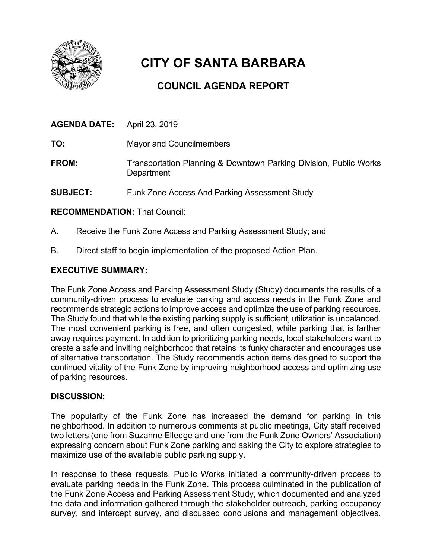

# **CITY OF SANTA BARBARA**

# **COUNCIL AGENDA REPORT**

| <b>AGENDA DATE:</b> | April 23, 2019                                                                  |
|---------------------|---------------------------------------------------------------------------------|
| TO:                 | <b>Mayor and Councilmembers</b>                                                 |
| FROM:               | Transportation Planning & Downtown Parking Division, Public Works<br>Department |
| <b>SUBJECT:</b>     | Funk Zone Access And Parking Assessment Study                                   |

**RECOMMENDATION:** That Council:

- A. Receive the Funk Zone Access and Parking Assessment Study; and
- B. Direct staff to begin implementation of the proposed Action Plan.

## **EXECUTIVE SUMMARY:**

The Funk Zone Access and Parking Assessment Study (Study) documents the results of a community-driven process to evaluate parking and access needs in the Funk Zone and recommends strategic actions to improve access and optimize the use of parking resources. The Study found that while the existing parking supply is sufficient, utilization is unbalanced. The most convenient parking is free, and often congested, while parking that is farther away requires payment. In addition to prioritizing parking needs, local stakeholders want to create a safe and inviting neighborhood that retains its funky character and encourages use of alternative transportation. The Study recommends action items designed to support the continued vitality of the Funk Zone by improving neighborhood access and optimizing use of parking resources.

#### **DISCUSSION:**

The popularity of the Funk Zone has increased the demand for parking in this neighborhood. In addition to numerous comments at public meetings, City staff received two letters (one from Suzanne Elledge and one from the Funk Zone Owners' Association) expressing concern about Funk Zone parking and asking the City to explore strategies to maximize use of the available public parking supply.

In response to these requests, Public Works initiated a community-driven process to evaluate parking needs in the Funk Zone. This process culminated in the publication of the Funk Zone Access and Parking Assessment Study, which documented and analyzed the data and information gathered through the stakeholder outreach, parking occupancy survey, and intercept survey, and discussed conclusions and management objectives.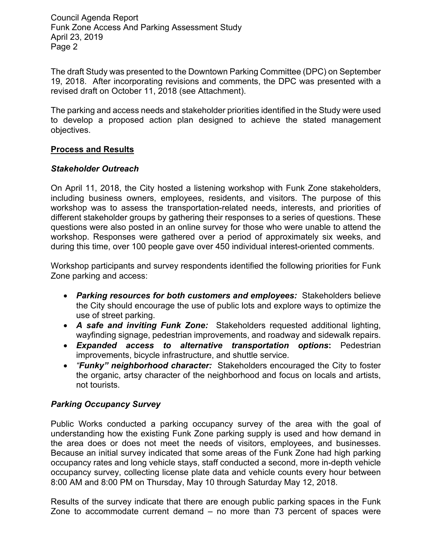The draft Study was presented to the Downtown Parking Committee (DPC) on September 19, 2018. After incorporating revisions and comments, the DPC was presented with a revised draft on October 11, 2018 (see Attachment).

The parking and access needs and stakeholder priorities identified in the Study were used to develop a proposed action plan designed to achieve the stated management objectives.

#### **Process and Results**

#### *Stakeholder Outreach*

On April 11, 2018, the City hosted a listening workshop with Funk Zone stakeholders, including business owners, employees, residents, and visitors. The purpose of this workshop was to assess the transportation-related needs, interests, and priorities of different stakeholder groups by gathering their responses to a series of questions. These questions were also posted in an online survey for those who were unable to attend the workshop. Responses were gathered over a period of approximately six weeks, and during this time, over 100 people gave over 450 individual interest-oriented comments.

Workshop participants and survey respondents identified the following priorities for Funk Zone parking and access:

- *Parking resources for both customers and employees:* Stakeholders believe the City should encourage the use of public lots and explore ways to optimize the use of street parking.
- *A safe and inviting Funk Zone:* Stakeholders requested additional lighting, wayfinding signage, pedestrian improvements, and roadway and sidewalk repairs.
- *Expanded access to alternative transportation options***:** Pedestrian improvements, bicycle infrastructure, and shuttle service.
- *"Funky" neighborhood character:*Stakeholders encouraged the City to foster the organic, artsy character of the neighborhood and focus on locals and artists, not tourists.

#### *Parking Occupancy Survey*

Public Works conducted a parking occupancy survey of the area with the goal of understanding how the existing Funk Zone parking supply is used and how demand in the area does or does not meet the needs of visitors, employees, and businesses. Because an initial survey indicated that some areas of the Funk Zone had high parking occupancy rates and long vehicle stays, staff conducted a second, more in-depth vehicle occupancy survey, collecting license plate data and vehicle counts every hour between 8:00 AM and 8:00 PM on Thursday, May 10 through Saturday May 12, 2018.

Results of the survey indicate that there are enough public parking spaces in the Funk Zone to accommodate current demand – no more than 73 percent of spaces were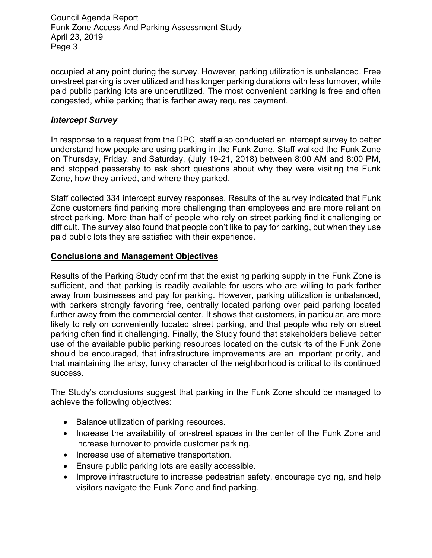occupied at any point during the survey. However, parking utilization is unbalanced. Free on-street parking is over utilized and has longer parking durations with less turnover, while paid public parking lots are underutilized. The most convenient parking is free and often congested, while parking that is farther away requires payment.

#### *Intercept Survey*

In response to a request from the DPC, staff also conducted an intercept survey to better understand how people are using parking in the Funk Zone. Staff walked the Funk Zone on Thursday, Friday, and Saturday, (July 19-21, 2018) between 8:00 AM and 8:00 PM, and stopped passersby to ask short questions about why they were visiting the Funk Zone, how they arrived, and where they parked.

Staff collected 334 intercept survey responses. Results of the survey indicated that Funk Zone customers find parking more challenging than employees and are more reliant on street parking. More than half of people who rely on street parking find it challenging or difficult. The survey also found that people don't like to pay for parking, but when they use paid public lots they are satisfied with their experience.

#### **Conclusions and Management Objectives**

Results of the Parking Study confirm that the existing parking supply in the Funk Zone is sufficient, and that parking is readily available for users who are willing to park farther away from businesses and pay for parking. However, parking utilization is unbalanced, with parkers strongly favoring free, centrally located parking over paid parking located further away from the commercial center. It shows that customers, in particular, are more likely to rely on conveniently located street parking, and that people who rely on street parking often find it challenging. Finally, the Study found that stakeholders believe better use of the available public parking resources located on the outskirts of the Funk Zone should be encouraged, that infrastructure improvements are an important priority, and that maintaining the artsy, funky character of the neighborhood is critical to its continued success.

The Study's conclusions suggest that parking in the Funk Zone should be managed to achieve the following objectives:

- Balance utilization of parking resources.
- Increase the availability of on-street spaces in the center of the Funk Zone and increase turnover to provide customer parking.
- Increase use of alternative transportation.
- Ensure public parking lots are easily accessible.
- Improve infrastructure to increase pedestrian safety, encourage cycling, and help visitors navigate the Funk Zone and find parking.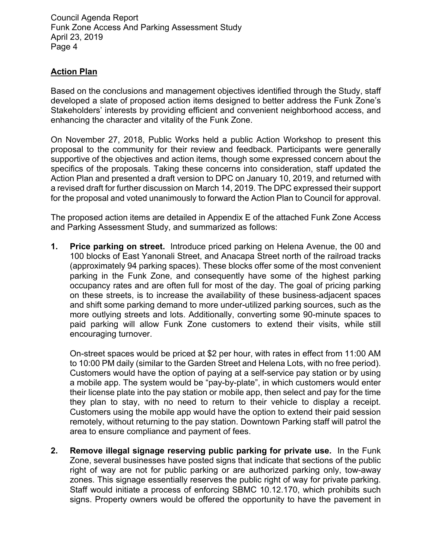### **Action Plan**

Based on the conclusions and management objectives identified through the Study, staff developed a slate of proposed action items designed to better address the Funk Zone's Stakeholders' interests by providing efficient and convenient neighborhood access, and enhancing the character and vitality of the Funk Zone.

On November 27, 2018, Public Works held a public Action Workshop to present this proposal to the community for their review and feedback. Participants were generally supportive of the objectives and action items, though some expressed concern about the specifics of the proposals. Taking these concerns into consideration, staff updated the Action Plan and presented a draft version to DPC on January 10, 2019, and returned with a revised draft for further discussion on March 14, 2019. The DPC expressed their support for the proposal and voted unanimously to forward the Action Plan to Council for approval.

The proposed action items are detailed in Appendix E of the attached Funk Zone Access and Parking Assessment Study, and summarized as follows:

**1. Price parking on street.** Introduce priced parking on Helena Avenue, the 00 and 100 blocks of East Yanonali Street, and Anacapa Street north of the railroad tracks (approximately 94 parking spaces). These blocks offer some of the most convenient parking in the Funk Zone, and consequently have some of the highest parking occupancy rates and are often full for most of the day. The goal of pricing parking on these streets, is to increase the availability of these business-adjacent spaces and shift some parking demand to more under-utilized parking sources, such as the more outlying streets and lots. Additionally, converting some 90-minute spaces to paid parking will allow Funk Zone customers to extend their visits, while still encouraging turnover.

On-street spaces would be priced at \$2 per hour, with rates in effect from 11:00 AM to 10:00 PM daily (similar to the Garden Street and Helena Lots, with no free period). Customers would have the option of paying at a self-service pay station or by using a mobile app. The system would be "pay-by-plate", in which customers would enter their license plate into the pay station or mobile app, then select and pay for the time they plan to stay, with no need to return to their vehicle to display a receipt. Customers using the mobile app would have the option to extend their paid session remotely, without returning to the pay station. Downtown Parking staff will patrol the area to ensure compliance and payment of fees.

**2. Remove illegal signage reserving public parking for private use.** In the Funk Zone, several businesses have posted signs that indicate that sections of the public right of way are not for public parking or are authorized parking only, tow-away zones. This signage essentially reserves the public right of way for private parking. Staff would initiate a process of enforcing SBMC 10.12.170, which prohibits such signs. Property owners would be offered the opportunity to have the pavement in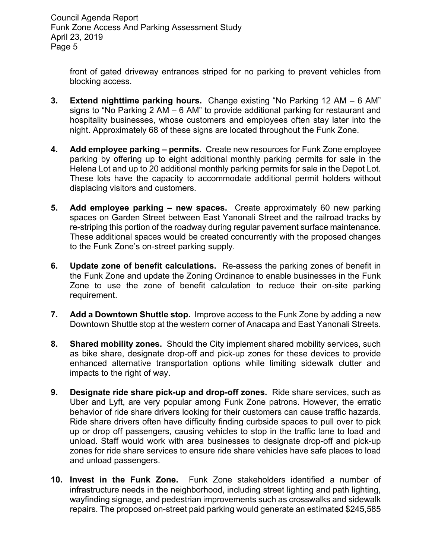front of gated driveway entrances striped for no parking to prevent vehicles from blocking access.

- **3. Extend nighttime parking hours.** Change existing "No Parking 12 AM 6 AM" signs to "No Parking 2 AM – 6 AM" to provide additional parking for restaurant and hospitality businesses, whose customers and employees often stay later into the night. Approximately 68 of these signs are located throughout the Funk Zone.
- **4. Add employee parking permits.** Create new resources for Funk Zone employee parking by offering up to eight additional monthly parking permits for sale in the Helena Lot and up to 20 additional monthly parking permits for sale in the Depot Lot. These lots have the capacity to accommodate additional permit holders without displacing visitors and customers.
- **5. Add employee parking new spaces.** Create approximately 60 new parking spaces on Garden Street between East Yanonali Street and the railroad tracks by re-striping this portion of the roadway during regular pavement surface maintenance. These additional spaces would be created concurrently with the proposed changes to the Funk Zone's on-street parking supply.
- **6. Update zone of benefit calculations.** Re-assess the parking zones of benefit in the Funk Zone and update the Zoning Ordinance to enable businesses in the Funk Zone to use the zone of benefit calculation to reduce their on-site parking requirement.
- **7. Add a Downtown Shuttle stop.** Improve access to the Funk Zone by adding a new Downtown Shuttle stop at the western corner of Anacapa and East Yanonali Streets.
- **8. Shared mobility zones.** Should the City implement shared mobility services, such as bike share, designate drop-off and pick-up zones for these devices to provide enhanced alternative transportation options while limiting sidewalk clutter and impacts to the right of way.
- **9. Designate ride share pick-up and drop-off zones.** Ride share services, such as Uber and Lyft, are very popular among Funk Zone patrons. However, the erratic behavior of ride share drivers looking for their customers can cause traffic hazards. Ride share drivers often have difficulty finding curbside spaces to pull over to pick up or drop off passengers, causing vehicles to stop in the traffic lane to load and unload. Staff would work with area businesses to designate drop-off and pick-up zones for ride share services to ensure ride share vehicles have safe places to load and unload passengers.
- **10. Invest in the Funk Zone.** Funk Zone stakeholders identified a number of infrastructure needs in the neighborhood, including street lighting and path lighting, wayfinding signage, and pedestrian improvements such as crosswalks and sidewalk repairs. The proposed on-street paid parking would generate an estimated \$245,585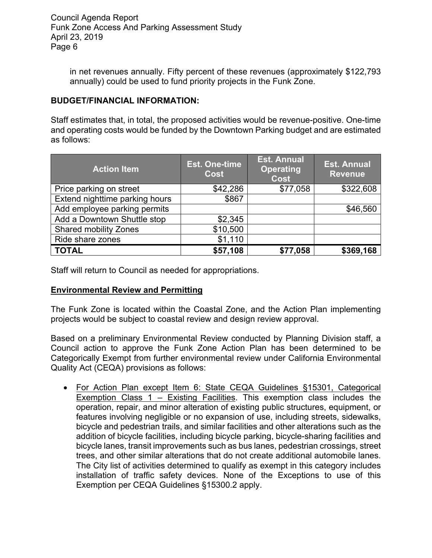in net revenues annually. Fifty percent of these revenues (approximately \$122,793 annually) could be used to fund priority projects in the Funk Zone.

#### **BUDGET/FINANCIAL INFORMATION:**

Staff estimates that, in total, the proposed activities would be revenue-positive. One-time and operating costs would be funded by the Downtown Parking budget and are estimated as follows:

| <b>Action Item</b>             | <b>Est. One-time</b><br><b>Cost</b> | <b>Est. Annual</b><br><b>Operating</b><br><b>Cost</b> | <b>Est. Annual</b><br><b>Revenue</b> |
|--------------------------------|-------------------------------------|-------------------------------------------------------|--------------------------------------|
| Price parking on street        | \$42,286                            | \$77,058                                              | \$322,608                            |
| Extend nighttime parking hours | \$867                               |                                                       |                                      |
| Add employee parking permits   |                                     |                                                       | \$46,560                             |
| Add a Downtown Shuttle stop    | \$2,345                             |                                                       |                                      |
| <b>Shared mobility Zones</b>   | \$10,500                            |                                                       |                                      |
| Ride share zones               | \$1,110                             |                                                       |                                      |
| <b>TOTAL</b>                   | \$57,108                            | \$77,058                                              | \$369,168                            |

Staff will return to Council as needed for appropriations.

#### **Environmental Review and Permitting**

The Funk Zone is located within the Coastal Zone, and the Action Plan implementing projects would be subject to coastal review and design review approval.

Based on a preliminary Environmental Review conducted by Planning Division staff, a Council action to approve the Funk Zone Action Plan has been determined to be Categorically Exempt from further environmental review under California Environmental Quality Act (CEQA) provisions as follows:

 For Action Plan except Item 6: State CEQA Guidelines §15301, Categorical Exemption Class 1 – Existing Facilities. This exemption class includes the operation, repair, and minor alteration of existing public structures, equipment, or features involving negligible or no expansion of use, including streets, sidewalks, bicycle and pedestrian trails, and similar facilities and other alterations such as the addition of bicycle facilities, including bicycle parking, bicycle-sharing facilities and bicycle lanes, transit improvements such as bus lanes, pedestrian crossings, street trees, and other similar alterations that do not create additional automobile lanes. The City list of activities determined to qualify as exempt in this category includes installation of traffic safety devices. None of the Exceptions to use of this Exemption per CEQA Guidelines §15300.2 apply.